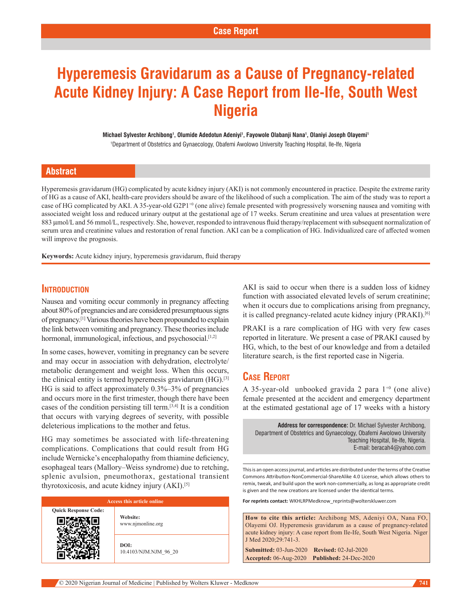# **Hyperemesis Gravidarum as a Cause of Pregnancy-related Acute Kidney Injury: A Case Report from Ile-Ife, South West Nigeria**

**Michael Sylvester Archibong1 , Olumide Adedotun Adeniyi1 , Fayowole Olabanji Nana1 , Olaniyi Joseph Olayemi1**

1 Department of Obstetrics and Gynaecology, Obafemi Awolowo University Teaching Hospital, Ile-Ife, Nigeria

#### **Abstract**

Hyperemesis gravidarum (HG) complicated by acute kidney injury (AKI) is not commonly encountered in practice. Despite the extreme rarity of HG as a cause of AKI, health‑care providers should be aware of the likelihood of such a complication. The aim of the study was to report a case of HG complicated by AKI. A 35-year-old G2P1<sup>+0</sup> (one alive) female presented with progressively worsening nausea and vomiting with associated weight loss and reduced urinary output at the gestational age of 17 weeks. Serum creatinine and urea values at presentation were 883 µmol/L and 56 mmol/L, respectively. She, however, responded to intravenous fluid therapy/replacement with subsequent normalization of serum urea and creatinine values and restoration of renal function. AKI can be a complication of HG. Individualized care of affected women will improve the prognosis.

**Keywords:** Acute kidney injury, hyperemesis gravidarum, fluid therapy

## **INTRODUCTION**

Nausea and vomiting occur commonly in pregnancy affecting about 80% of pregnancies and are considered presumptuous signs of pregnancy.[1] Various theories have been propounded to explain the link between vomiting and pregnancy. These theories include hormonal, immunological, infectious, and psychosocial.<sup>[1,2]</sup>

In some cases, however, vomiting in pregnancy can be severe and may occur in association with dehydration, electrolyte/ metabolic derangement and weight loss. When this occurs, the clinical entity is termed hyperemesis gravidarum  $(HG)$ .<sup>[3]</sup> HG is said to affect approximately 0.3%–3% of pregnancies and occurs more in the first trimester, though there have been cases of the condition persisting till term.[3,4] It is a condition that occurs with varying degrees of severity, with possible deleterious implications to the mother and fetus.

HG may sometimes be associated with life-threatening complications. Complications that could result from HG include Wernicke's encephalopathy from thiamine deficiency, esophageal tears (Mallory–Weiss syndrome) due to retching, splenic avulsion, pneumothorax, gestational transient thyrotoxicosis, and acute kidney injury (AKI).[5]

| <b>Access this article online</b> |                               |
|-----------------------------------|-------------------------------|
| <b>Quick Response Code:</b>       | Website:<br>www.njmonline.org |
|                                   | DOI:<br>10.4103/NJM.NJM 96 20 |

AKI is said to occur when there is a sudden loss of kidney function with associated elevated levels of serum creatinine; when it occurs due to complications arising from pregnancy, it is called pregnancy-related acute kidney injury (PRAKI).<sup>[6]</sup>

PRAKI is a rare complication of HG with very few cases reported in literature. We present a case of PRAKI caused by HG, which, to the best of our knowledge and from a detailed literature search, is the first reported case in Nigeria.

### **Case Report**

A 35-year-old unbooked gravida 2 para  $1^{+0}$  (one alive) female presented at the accident and emergency department at the estimated gestational age of 17 weeks with a history

**Address for correspondence:** Dr. Michael Sylvester Archibong, Department of Obstetrics and Gynaecology, Obafemi Awolowo University Teaching Hospital, Ile-Ife, Nigeria. E-mail: beracah4@yahoo.com

This is an open access journal, and articles are distributed under the terms of the Creative Commons Attribution‑NonCommercial‑ShareAlike 4.0 License, which allows others to remix, tweak, and build upon the work non‑commercially, as long as appropriate credit is given and the new creations are licensed under the identical terms.

**For reprints contact:** WKHLRPMedknow\_reprints@wolterskluwer.com

**How to cite this article:** Archibong MS, Adeniyi OA, Nana FO, Olayemi OJ. Hyperemesis gravidarum as a cause of pregnancy-related acute kidney injury: A case report from Ile-Ife, South West Nigeria. Niger J Med 2020;29:741-3.

**Submitted:** 03-Jun-2020 **Revised:** 02-Jul-2020 **Accepted:** 06-Aug-2020 **Published:** 24-Dec-2020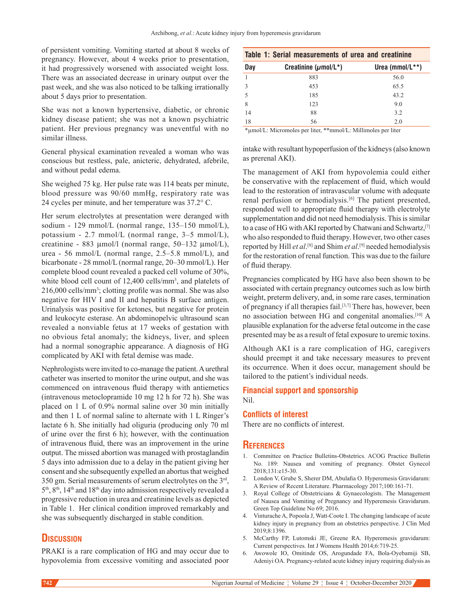of persistent vomiting. Vomiting started at about 8 weeks of pregnancy. However, about 4 weeks prior to presentation, it had progressively worsened with associated weight loss. There was an associated decrease in urinary output over the past week, and she was also noticed to be talking irrationally about 5 days prior to presentation.

She was not a known hypertensive, diabetic, or chronic kidney disease patient; she was not a known psychiatric patient. Her previous pregnancy was uneventful with no similar illness.

General physical examination revealed a woman who was conscious but restless, pale, anicteric, dehydrated, afebrile, and without pedal edema.

She weighed 75 kg. Her pulse rate was 114 beats per minute, blood pressure was 90/60 mmHg, respiratory rate was 24 cycles per minute, and her temperature was 37.2° C.

Her serum electrolytes at presentation were deranged with sodium - 129 mmol/L (normal range,  $135-150$  mmol/L), potassium ‑ 2.7 mmol/L (normal range, 3–5 mmol/L), creatinine - 883 µmol/l (normal range, 50–132 µmol/L), urea ‑ 56 mmol/L (normal range, 2.5–5.8 mmol/L), and bicarbonate ‑ 28 mmol/L (normal range, 20–30 mmol/L). Her complete blood count revealed a packed cell volume of 30%, white blood cell count of 12,400 cells/mm<sup>3</sup>, and platelets of 216,000 cells/mm3 ; clotting profile was normal. She was also negative for HIV I and II and hepatitis B surface antigen. Urinalysis was positive for ketones, but negative for protein and leukocyte esterase. An abdominopelvic ultrasound scan revealed a nonviable fetus at 17 weeks of gestation with no obvious fetal anomaly; the kidneys, liver, and spleen had a normal sonographic appearance. A diagnosis of HG complicated by AKI with fetal demise was made.

Nephrologists were invited to co-manage the patient. A urethral catheter was inserted to monitor the urine output, and she was commenced on intravenous fluid therapy with antiemetics (intravenous metoclopramide 10 mg 12 h for 72 h). She was placed on 1 L of 0.9% normal saline over 30 min initially and then 1 L of normal saline to alternate with 1 L Ringer's lactate 6 h. She initially had oliguria (producing only 70 ml of urine over the first 6 h); however, with the continuation of intravenous fluid, there was an improvement in the urine output. The missed abortion was managed with prostaglandin 5 days into admission due to a delay in the patient giving her consent and she subsequently expelled an abortus that weighed 350 gm. Serial measurements of serum electrolytes on the 3rd,  $5<sup>th</sup>$ ,  $8<sup>th</sup>$ ,  $14<sup>th</sup>$  and  $18<sup>th</sup>$  day into admission respectively revealed a progressive reduction in urea and creatinine levels as depicted in Table 1. Her clinical condition improved remarkably and she was subsequently discharged in stable condition.

#### **Discussion**

PRAKI is a rare complication of HG and may occur due to hypovolemia from excessive vomiting and associated poor

| Table 1: Serial measurements of urea and creatinine |                            |                        |
|-----------------------------------------------------|----------------------------|------------------------|
| Day                                                 | Creatinine ( $\mu$ mol/L*) | Urea (mmol/ $L^{**}$ ) |
|                                                     | 883                        | 56.0                   |
| $\mathcal{R}$                                       | 453                        | 65.5                   |
|                                                     | 185                        | 43.2                   |
| 8                                                   | 123                        | 9.0                    |
| 14                                                  | 88                         | 3.2                    |
| 18                                                  | 56                         | 2.0                    |

\*µmol/L: Micromoles per liter, \*\*mmol/L: Millimoles per liter

intake with resultant hypoperfusion of the kidneys(also known as prerenal AKI).

The management of AKI from hypovolemia could either be conservative with the replacement of fluid, which would lead to the restoration of intravascular volume with adequate renal perfusion or hemodialysis.[6] The patient presented, responded well to appropriate fluid therapy with electrolyte supplementation and did not need hemodialysis. This is similar to a case of HG with AKI reported by Chatwani and Schwartz, [7] who also responded to fluid therapy. However, two other cases reported by Hill *et al*. [8] and Shim *et al*. [9] needed hemodialysis for the restoration of renal function. This was due to the failure of fluid therapy.

Pregnancies complicated by HG have also been shown to be associated with certain pregnancy outcomes such as low birth weight, preterm delivery, and, in some rare cases, termination of pregnancy if all therapies fail.[3,7] There has, however, been no association between HG and congenital anomalies.[10] A plausible explanation for the adverse fetal outcome in the case presented may be as a result of fetal exposure to uremic toxins.

Although AKI is a rare complication of HG, caregivers should preempt it and take necessary measures to prevent its occurrence. When it does occur, management should be tailored to the patient's individual needs.

#### **Financial support and sponsorship** Nil.

# **Conflicts of interest**

There are no conflicts of interest.

#### **References**

- 1. Committee on Practice Bulletins‑Obstetrics. ACOG Practice Bulletin No. 189: Nausea and vomiting of pregnancy. Obstet Gynecol 2018;131:e15‑30.
- 2. London V, Grube S, Sherer DM, Abulafia O. Hyperemesis Gravidarum: A Review of Recent Literature. Pharmacology 2017;100:161-71.
- 3. Royal College of Obstetricians & Gynaecologists. The Management of Nausea and Vomiting of Pregnancy and Hyperemesis Gravidarum. Green Top Guideline No 69; 2016.
- 4. Vinturache A, Popoola J, Watt-Coote I. The changing landscape of acute kidney injury in pregnancy from an obstetrics perspective. J Clin Med 2019;8:1396.
- 5. McCarthy FP, Lutomski JE, Greene RA. Hyperemesis gravidarum: Current perspectives. Int J Womens Health 2014;6:719‑25.
- 6. Awowole IO, Omitinde OS, Arogundade FA, Bola‑Oyebamiji SB, Adeniyi OA. Pregnancy‑related acute kidney injury requiring dialysis as